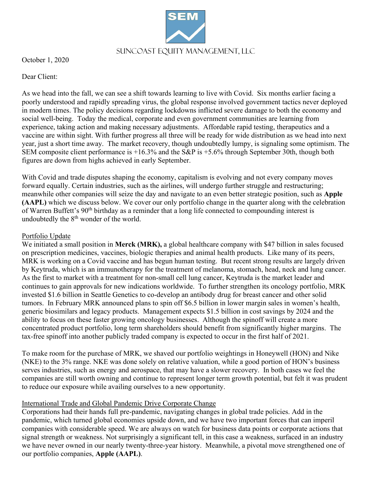# Suncoast Equity Management, LLC

October 1, 2020

Dear Client:

As we head into the fall, we can see a shift towards learning to live with Covid. Six months earlier facing a poorly understood and rapidly spreading virus, the global response involved government tactics never deployed in modern times. The policy decisions regarding lockdowns inflicted severe damage to both the economy and social well-being. Today the medical, corporate and even government communities are learning from experience, taking action and making necessary adjustments. Affordable rapid testing, therapeutics and a vaccine are within sight. With further progress all three will be ready for wide distribution as we head into next year, just a short time away. The market recovery, though undoubtedly lumpy, is signaling some optimism. The SEM composite client performance is +16.3% and the S&P is +5.6% through September 30th, though both figures are down from highs achieved in early September.

With Covid and trade disputes shaping the economy, capitalism is evolving and not every company moves forward equally. Certain industries, such as the airlines, will undergo further struggle and restructuring; meanwhile other companies will seize the day and navigate to an even better strategic position, such as **Apple (AAPL)** which we discuss below. We cover our only portfolio change in the quarter along with the celebration of Warren Buffett's 90<sup>th</sup> birthday as a reminder that a long life connected to compounding interest is undoubtedly the  $8<sup>th</sup>$  wonder of the world.

## Portfolio Update

We initiated a small position in **Merck (MRK),** a global healthcare company with \$47 billion in sales focused on prescription medicines, vaccines, biologic therapies and animal health products. Like many of its peers, MRK is working on a Covid vaccine and has begun human testing. But recent strong results are largely driven by Keytruda, which is an immunotherapy for the treatment of melanoma, stomach, head, neck and lung cancer. As the first to market with a treatment for non-small cell lung cancer, Keytruda is the market leader and continues to gain approvals for new indications worldwide. To further strengthen its oncology portfolio, MRK invested \$1.6 billion in Seattle Genetics to co-develop an antibody drug for breast cancer and other solid tumors. In February MRK announced plans to spin off \$6.5 billion in lower margin sales in women's health, generic biosimilars and legacy products. Management expects \$1.5 billion in cost savings by 2024 and the ability to focus on these faster growing oncology businesses. Although the spinoff will create a more concentrated product portfolio, long term shareholders should benefit from significantly higher margins. The tax-free spinoff into another publicly traded company is expected to occur in the first half of 2021.

To make room for the purchase of MRK, we shaved our portfolio weightings in Honeywell (HON) and Nike (NKE) to the 3% range. NKE was done solely on relative valuation, while a good portion of HON's business serves industries, such as energy and aerospace, that may have a slower recovery. In both cases we feel the companies are still worth owning and continue to represent longer term growth potential, but felt it was prudent to reduce our exposure while availing ourselves to a new opportunity.

## International Trade and Global Pandemic Drive Corporate Change

Corporations had their hands full pre-pandemic, navigating changes in global trade policies. Add in the pandemic, which turned global economies upside down, and we have two important forces that can imperil companies with considerable speed. We are always on watch for business data points or corporate actions that signal strength or weakness. Not surprisingly a significant tell, in this case a weakness, surfaced in an industry we have never owned in our nearly twenty-three-year history. Meanwhile, a pivotal move strengthened one of our portfolio companies, **Apple (AAPL)**.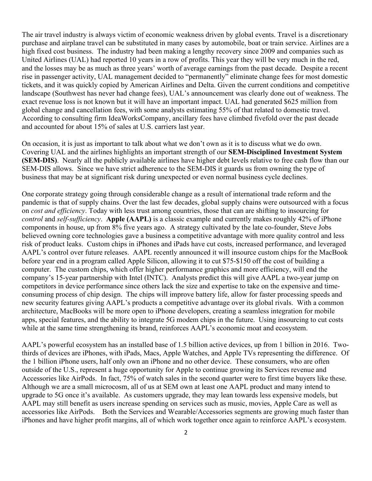The air travel industry is always victim of economic weakness driven by global events. Travel is a discretionary purchase and airplane travel can be substituted in many cases by automobile, boat or train service. Airlines are a high fixed cost business. The industry had been making a lengthy recovery since 2009 and companies such as United Airlines (UAL) had reported 10 years in a row of profits. This year they will be very much in the red, and the losses may be as much as three years' worth of average earnings from the past decade. Despite a recent rise in passenger activity, UAL management decided to "permanently" eliminate change fees for most domestic tickets, and it was quickly copied by American Airlines and Delta. Given the current conditions and competitive landscape (Southwest has never had change fees), UAL's announcement was clearly done out of weakness. The exact revenue loss is not known but it will have an important impact. UAL had generated \$625 million from global change and cancellation fees, with some analysts estimating 55% of that related to domestic travel. According to consulting firm IdeaWorksCompany, ancillary fees have climbed fivefold over the past decade and accounted for about 15% of sales at U.S. carriers last year.

On occasion, it is just as important to talk about what we don't own as it is to discuss what we do own. Covering UAL and the airlines highlights an important strength of our **SEM-Disciplined Investment System (SEM-DIS)**. Nearly all the publicly available airlines have higher debt levels relative to free cash flow than our SEM-DIS allows. Since we have strict adherence to the SEM-DIS it guards us from owning the type of business that may be at significant risk during unexpected or even normal business cycle declines.

One corporate strategy going through considerable change as a result of international trade reform and the pandemic is that of supply chains. Over the last few decades, global supply chains were outsourced with a focus on *cost and efficiency*. Today with less trust among countries, those that can are shifting to insourcing for *control* and *self-sufficiency*. **Apple (AAPL)** is a classic example and currently makes roughly 42% of iPhone components in house, up from 8% five years ago. A strategy cultivated by the late co-founder, Steve Jobs believed owning core technologies gave a business a competitive advantage with more quality control and less risk of product leaks. Custom chips in iPhones and iPads have cut costs, increased performance, and leveraged AAPL's control over future releases. AAPL recently announced it will insource custom chips for the MacBook before year end in a program called Apple Silicon, allowing it to cut \$75-\$150 off the cost of building a computer. The custom chips, which offer higher performance graphics and more efficiency, will end the company's 15-year partnership with Intel (INTC). Analysts predict this will give AAPL a two-year jump on competitors in device performance since others lack the size and expertise to take on the expensive and timeconsuming process of chip design. The chips will improve battery life, allow for faster processing speeds and new security features giving AAPL's products a competitive advantage over its global rivals. With a common architecture, MacBooks will be more open to iPhone developers, creating a seamless integration for mobile apps, special features, and the ability to integrate 5G modem chips in the future. Using insourcing to cut costs while at the same time strengthening its brand, reinforces AAPL's economic moat and ecosystem.

AAPL's powerful ecosystem has an installed base of 1.5 billion active devices, up from 1 billion in 2016. Twothirds of devices are iPhones, with iPads, Macs, Apple Watches, and Apple TVs representing the difference. Of the 1 billion iPhone users, half only own an iPhone and no other device. These consumers, who are often outside of the U.S., represent a huge opportunity for Apple to continue growing its Services revenue and Accessories like AirPods. In fact, 75% of watch sales in the second quarter were to first time buyers like these. Although we are a small microcosm, all of us at SEM own at least one AAPL product and many intend to upgrade to 5G once it's available. As customers upgrade, they may lean towards less expensive models, but AAPL may still benefit as users increase spending on services such as music, movies, Apple Care as well as accessories like AirPods. Both the Services and Wearable/Accessories segments are growing much faster than iPhones and have higher profit margins, all of which work together once again to reinforce AAPL's ecosystem.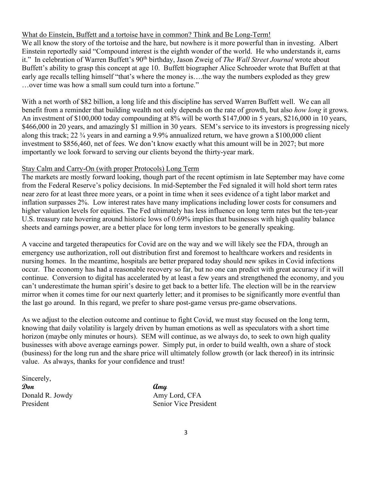#### What do Einstein, Buffett and a tortoise have in common? Think and Be Long-Term!

We all know the story of the tortoise and the hare, but nowhere is it more powerful than in investing. Albert Einstein reportedly said "Compound interest is the eighth wonder of the world. He who understands it, earns it." In celebration of Warren Buffett's 90<sup>th</sup> birthday, Jason Zweig of *The Wall Street Journal* wrote about Buffett's ability to grasp this concept at age 10. Buffett biographer Alice Schroeder wrote that Buffett at that early age recalls telling himself "that's where the money is….the way the numbers exploded as they grew …over time was how a small sum could turn into a fortune."

With a net worth of \$82 billion, a long life and this discipline has served Warren Buffett well. We can all benefit from a reminder that building wealth not only depends on the rate of growth, but also *how long* it grows. An investment of \$100,000 today compounding at 8% will be worth \$147,000 in 5 years, \$216,000 in 10 years, \$466,000 in 20 years, and amazingly \$1 million in 30 years. SEM's service to its investors is progressing nicely along this track; 22 ¾ years in and earning a 9.9% annualized return, we have grown a \$100,000 client investment to \$856,460, net of fees. We don't know exactly what this amount will be in 2027; but more importantly we look forward to serving our clients beyond the thirty-year mark.

#### Stay Calm and Carry-On (with proper Protocols) Long Term

The markets are mostly forward looking, though part of the recent optimism in late September may have come from the Federal Reserve's policy decisions. In mid-September the Fed signaled it will hold short term rates near zero for at least three more years, or a point in time when it sees evidence of a tight labor market and inflation surpasses 2%. Low interest rates have many implications including lower costs for consumers and higher valuation levels for equities. The Fed ultimately has less influence on long term rates but the ten-year U.S. treasury rate hovering around historic lows of 0.69% implies that businesses with high quality balance sheets and earnings power, are a better place for long term investors to be generally speaking.

A vaccine and targeted therapeutics for Covid are on the way and we will likely see the FDA, through an emergency use authorization, roll out distribution first and foremost to healthcare workers and residents in nursing homes. In the meantime, hospitals are better prepared today should new spikes in Covid infections occur. The economy has had a reasonable recovery so far, but no one can predict with great accuracy if it will continue. Conversion to digital has accelerated by at least a few years and strengthened the economy, and you can't underestimate the human spirit's desire to get back to a better life. The election will be in the rearview mirror when it comes time for our next quarterly letter; and it promises to be significantly more eventful than the last go around. In this regard, we prefer to share post-game versus pre-game observations.

As we adjust to the election outcome and continue to fight Covid, we must stay focused on the long term, knowing that daily volatility is largely driven by human emotions as well as speculators with a short time horizon (maybe only minutes or hours). SEM will continue, as we always do, to seek to own high quality businesses with above average earnings power. Simply put, in order to build wealth, own a share of stock (business) for the long run and the share price will ultimately follow growth (or lack thereof) in its intrinsic value. As always, thanks for your confidence and trust!

| Sincerely,      |      |
|-----------------|------|
| Don             | amy  |
| Donald R. Jowdy | Amy  |
| President       | Seni |

Amy Lord, CFA Senior Vice President